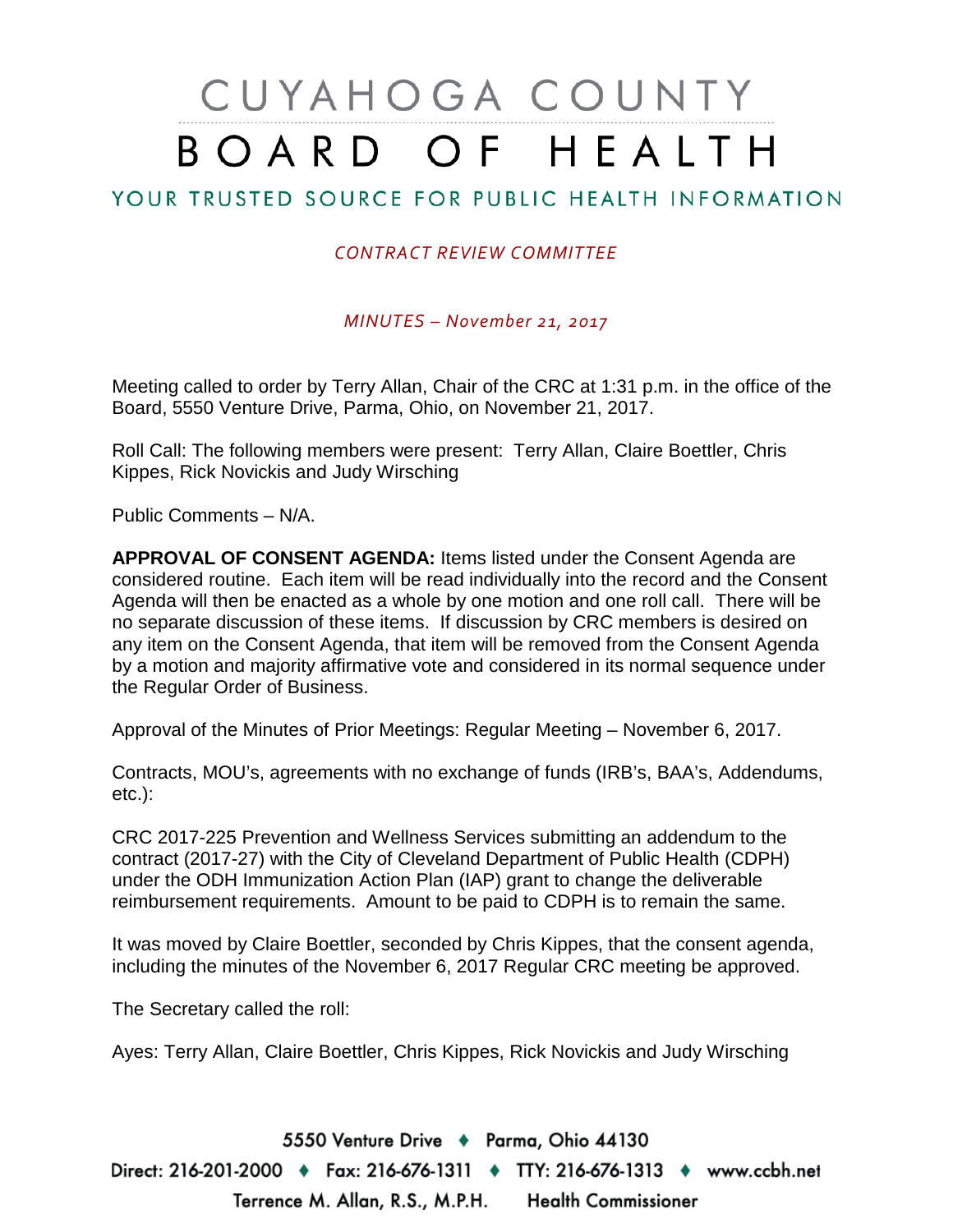# CUYAHOGA COUNTY BOARD OF HEALTH

## YOUR TRUSTED SOURCE FOR PUBLIC HEALTH INFORMATION

#### *CONTRACT REVIEW COMMITTEE*

*MINUTES – November 21, 2017*

Meeting called to order by Terry Allan, Chair of the CRC at 1:31 p.m. in the office of the Board, 5550 Venture Drive, Parma, Ohio, on November 21, 2017.

Roll Call: The following members were present: Terry Allan, Claire Boettler, Chris Kippes, Rick Novickis and Judy Wirsching

Public Comments – N/A.

**APPROVAL OF CONSENT AGENDA:** Items listed under the Consent Agenda are considered routine. Each item will be read individually into the record and the Consent Agenda will then be enacted as a whole by one motion and one roll call. There will be no separate discussion of these items. If discussion by CRC members is desired on any item on the Consent Agenda, that item will be removed from the Consent Agenda by a motion and majority affirmative vote and considered in its normal sequence under the Regular Order of Business.

Approval of the Minutes of Prior Meetings: Regular Meeting – November 6, 2017.

Contracts, MOU's, agreements with no exchange of funds (IRB's, BAA's, Addendums, etc.):

CRC 2017-225 Prevention and Wellness Services submitting an addendum to the contract (2017-27) with the City of Cleveland Department of Public Health (CDPH) under the ODH Immunization Action Plan (IAP) grant to change the deliverable reimbursement requirements. Amount to be paid to CDPH is to remain the same.

It was moved by Claire Boettler, seconded by Chris Kippes, that the consent agenda, including the minutes of the November 6, 2017 Regular CRC meeting be approved.

The Secretary called the roll:

Ayes: Terry Allan, Claire Boettler, Chris Kippes, Rick Novickis and Judy Wirsching

5550 Venture Drive + Parma, Ohio 44130 Direct: 216-201-2000 ♦ Fax: 216-676-1311 ♦ TTY: 216-676-1313 ♦ www.ccbh.net Terrence M. Allan, R.S., M.P.H. Health Commissioner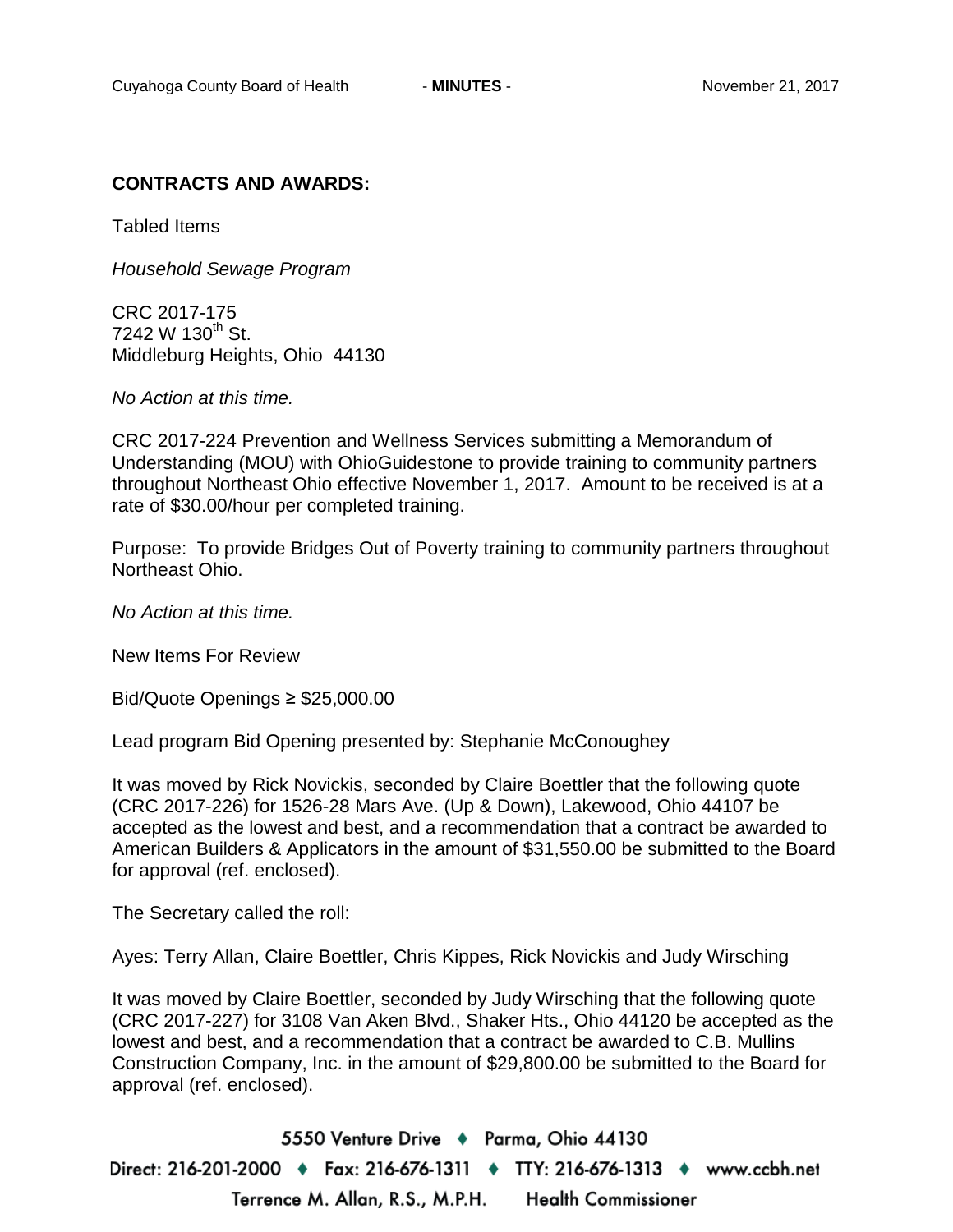#### **CONTRACTS AND AWARDS:**

Tabled Items

*Household Sewage Program*

CRC 2017-175  $7242 \text{ W } 130^{\text{th}}$  St. Middleburg Heights, Ohio 44130

*No Action at this time.*

CRC 2017-224 Prevention and Wellness Services submitting a Memorandum of Understanding (MOU) with OhioGuidestone to provide training to community partners throughout Northeast Ohio effective November 1, 2017. Amount to be received is at a rate of \$30.00/hour per completed training.

Purpose: To provide Bridges Out of Poverty training to community partners throughout Northeast Ohio.

*No Action at this time.*

New Items For Review

Bid/Quote Openings ≥ \$25,000.00

Lead program Bid Opening presented by: Stephanie McConoughey

It was moved by Rick Novickis, seconded by Claire Boettler that the following quote (CRC 2017-226) for 1526-28 Mars Ave. (Up & Down), Lakewood, Ohio 44107 be accepted as the lowest and best, and a recommendation that a contract be awarded to American Builders & Applicators in the amount of \$31,550.00 be submitted to the Board for approval (ref. enclosed).

The Secretary called the roll:

Ayes: Terry Allan, Claire Boettler, Chris Kippes, Rick Novickis and Judy Wirsching

It was moved by Claire Boettler, seconded by Judy Wirsching that the following quote (CRC 2017-227) for 3108 Van Aken Blvd., Shaker Hts., Ohio 44120 be accepted as the lowest and best, and a recommendation that a contract be awarded to C.B. Mullins Construction Company, Inc. in the amount of \$29,800.00 be submitted to the Board for approval (ref. enclosed).

5550 Venture Drive + Parma, Ohio 44130 Direct: 216-201-2000 ♦ Fax: 216-676-1311 ♦ TTY: 216-676-1313 ♦ www.ccbh.net Terrence M. Allan, R.S., M.P.H. **Health Commissioner**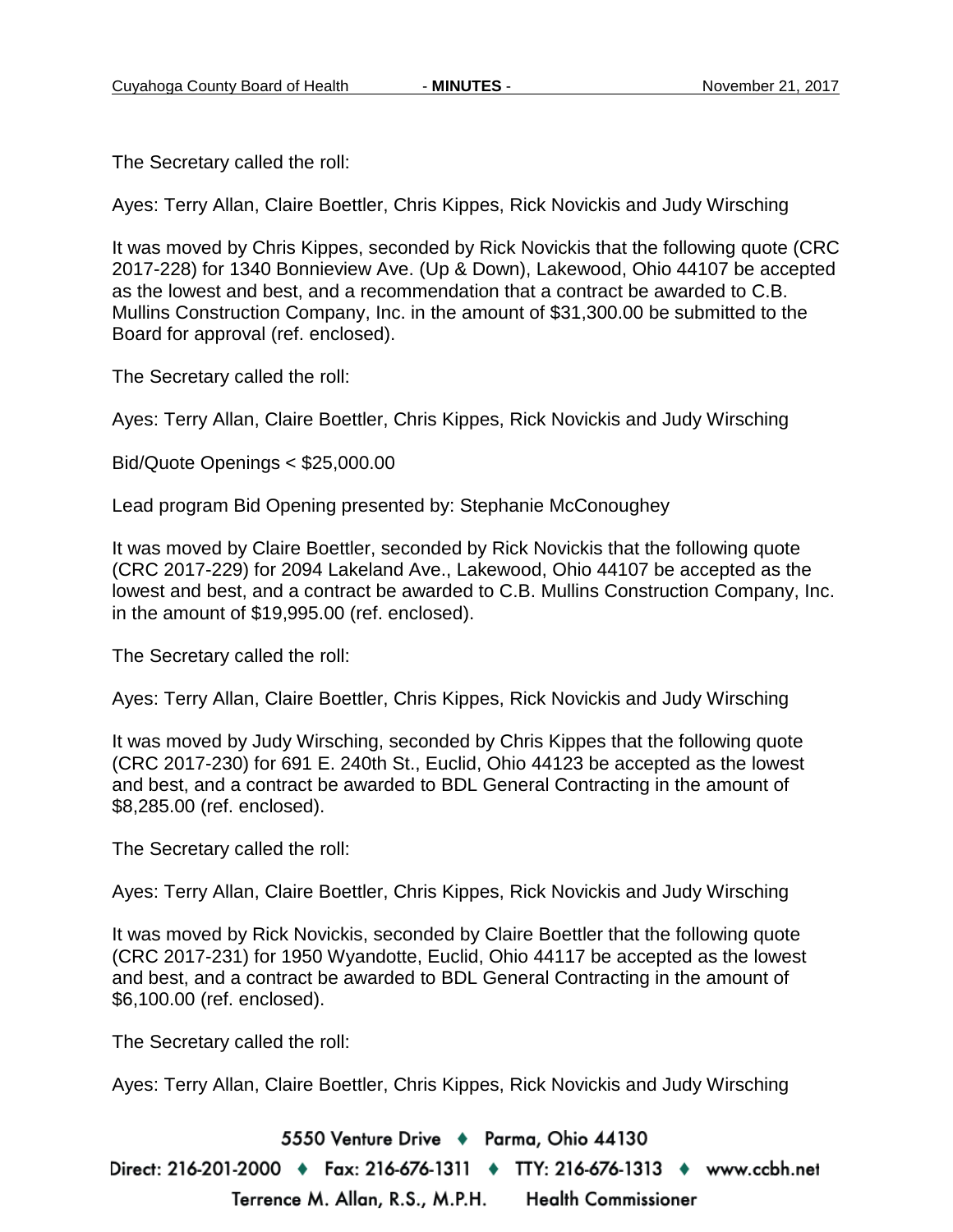The Secretary called the roll:

Ayes: Terry Allan, Claire Boettler, Chris Kippes, Rick Novickis and Judy Wirsching

It was moved by Chris Kippes, seconded by Rick Novickis that the following quote (CRC 2017-228) for 1340 Bonnieview Ave. (Up & Down), Lakewood, Ohio 44107 be accepted as the lowest and best, and a recommendation that a contract be awarded to C.B. Mullins Construction Company, Inc. in the amount of \$31,300.00 be submitted to the Board for approval (ref. enclosed).

The Secretary called the roll:

Ayes: Terry Allan, Claire Boettler, Chris Kippes, Rick Novickis and Judy Wirsching

Bid/Quote Openings < \$25,000.00

Lead program Bid Opening presented by: Stephanie McConoughey

It was moved by Claire Boettler, seconded by Rick Novickis that the following quote (CRC 2017-229) for 2094 Lakeland Ave., Lakewood, Ohio 44107 be accepted as the lowest and best, and a contract be awarded to C.B. Mullins Construction Company, Inc. in the amount of \$19,995.00 (ref. enclosed).

The Secretary called the roll:

Ayes: Terry Allan, Claire Boettler, Chris Kippes, Rick Novickis and Judy Wirsching

It was moved by Judy Wirsching, seconded by Chris Kippes that the following quote (CRC 2017-230) for 691 E. 240th St., Euclid, Ohio 44123 be accepted as the lowest and best, and a contract be awarded to BDL General Contracting in the amount of \$8,285.00 (ref. enclosed).

The Secretary called the roll:

Ayes: Terry Allan, Claire Boettler, Chris Kippes, Rick Novickis and Judy Wirsching

It was moved by Rick Novickis, seconded by Claire Boettler that the following quote (CRC 2017-231) for 1950 Wyandotte, Euclid, Ohio 44117 be accepted as the lowest and best, and a contract be awarded to BDL General Contracting in the amount of \$6,100.00 (ref. enclosed).

The Secretary called the roll:

Ayes: Terry Allan, Claire Boettler, Chris Kippes, Rick Novickis and Judy Wirsching

5550 Venture Drive + Parma, Ohio 44130

Direct: 216-201-2000 ♦ Fax: 216-676-1311 ♦ TTY: 216-676-1313 ♦ www.ccbh.net Terrence M. Allan, R.S., M.P.H. **Health Commissioner**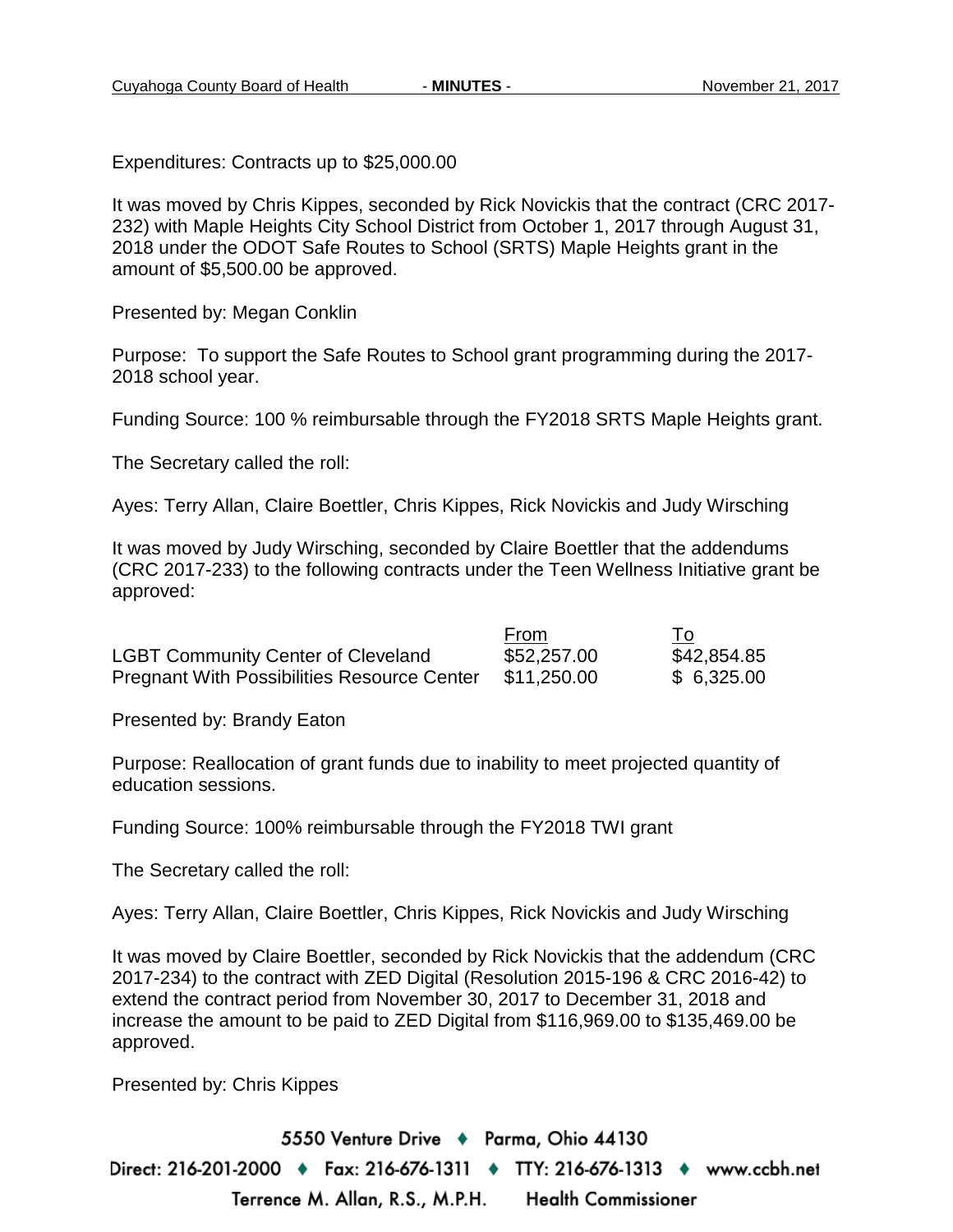Expenditures: Contracts up to \$25,000.00

It was moved by Chris Kippes, seconded by Rick Novickis that the contract (CRC 2017- 232) with Maple Heights City School District from October 1, 2017 through August 31, 2018 under the ODOT Safe Routes to School (SRTS) Maple Heights grant in the amount of \$5,500.00 be approved.

Presented by: Megan Conklin

Purpose: To support the Safe Routes to School grant programming during the 2017- 2018 school year.

Funding Source: 100 % reimbursable through the FY2018 SRTS Maple Heights grant.

The Secretary called the roll:

Ayes: Terry Allan, Claire Boettler, Chris Kippes, Rick Novickis and Judy Wirsching

It was moved by Judy Wirsching, seconded by Claire Boettler that the addendums (CRC 2017-233) to the following contracts under the Teen Wellness Initiative grant be approved:

|                                                    | From        | To          |
|----------------------------------------------------|-------------|-------------|
| <b>LGBT Community Center of Cleveland</b>          | \$52,257.00 | \$42,854.85 |
| <b>Pregnant With Possibilities Resource Center</b> | \$11,250.00 | \$6,325.00  |

Presented by: Brandy Eaton

Purpose: Reallocation of grant funds due to inability to meet projected quantity of education sessions.

Funding Source: 100% reimbursable through the FY2018 TWI grant

The Secretary called the roll:

Ayes: Terry Allan, Claire Boettler, Chris Kippes, Rick Novickis and Judy Wirsching

It was moved by Claire Boettler, seconded by Rick Novickis that the addendum (CRC 2017-234) to the contract with ZED Digital (Resolution 2015-196 & CRC 2016-42) to extend the contract period from November 30, 2017 to December 31, 2018 and increase the amount to be paid to ZED Digital from \$116,969.00 to \$135,469.00 be approved.

Presented by: Chris Kippes

5550 Venture Drive + Parma, Ohio 44130 Direct: 216-201-2000 ♦ Fax: 216-676-1311 ♦ TTY: 216-676-1313 ♦ www.ccbh.net Terrence M. Allan, R.S., M.P.H. **Health Commissioner**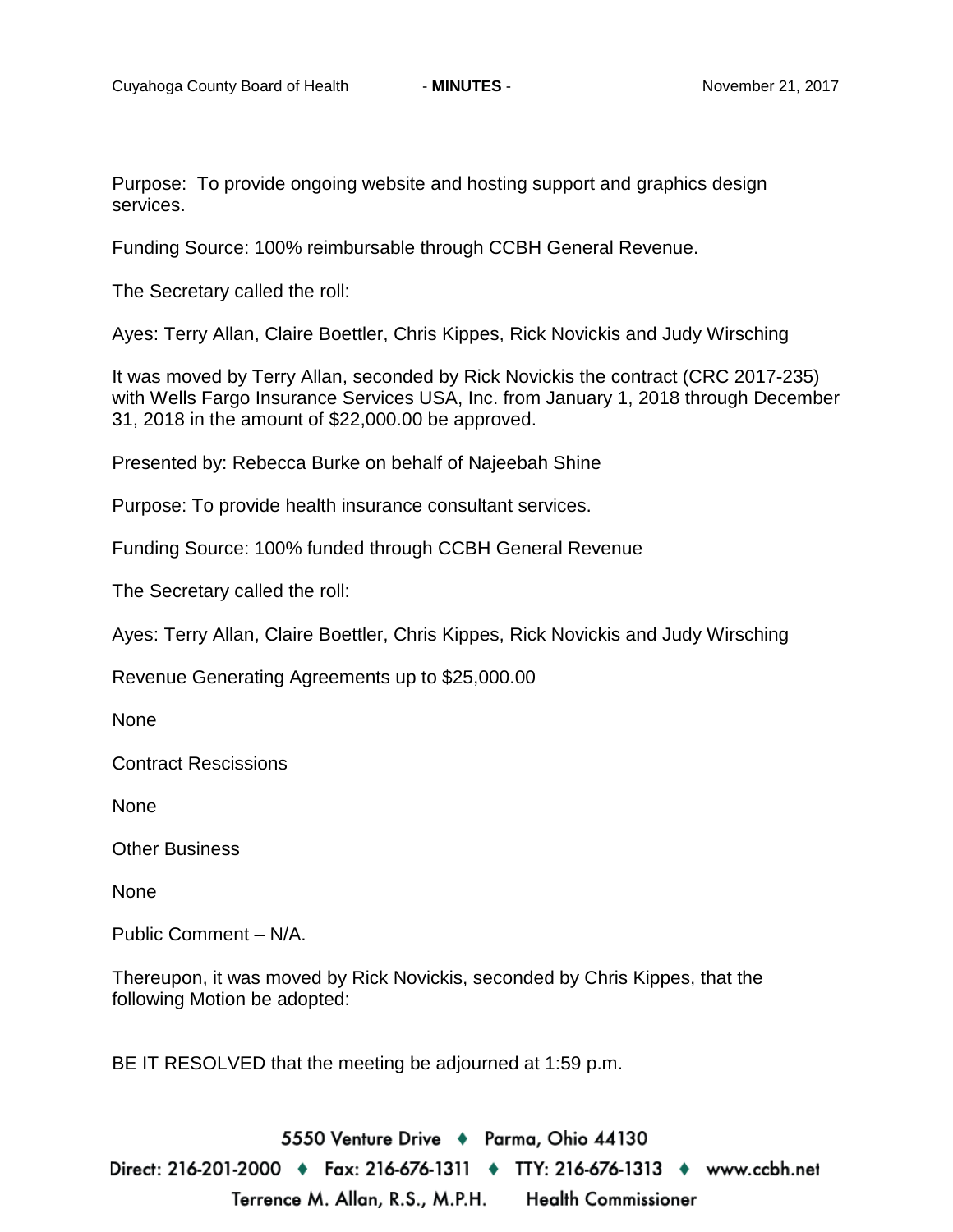Purpose: To provide ongoing website and hosting support and graphics design services.

Funding Source: 100% reimbursable through CCBH General Revenue.

The Secretary called the roll:

Ayes: Terry Allan, Claire Boettler, Chris Kippes, Rick Novickis and Judy Wirsching

It was moved by Terry Allan, seconded by Rick Novickis the contract (CRC 2017-235) with Wells Fargo Insurance Services USA, Inc. from January 1, 2018 through December 31, 2018 in the amount of \$22,000.00 be approved.

Presented by: Rebecca Burke on behalf of Najeebah Shine

Purpose: To provide health insurance consultant services.

Funding Source: 100% funded through CCBH General Revenue

The Secretary called the roll:

Ayes: Terry Allan, Claire Boettler, Chris Kippes, Rick Novickis and Judy Wirsching

Revenue Generating Agreements up to \$25,000.00

None

Contract Rescissions

None

Other Business

None

Public Comment – N/A.

Thereupon, it was moved by Rick Novickis, seconded by Chris Kippes, that the following Motion be adopted:

BE IT RESOLVED that the meeting be adjourned at 1:59 p.m.

5550 Venture Drive + Parma, Ohio 44130 Direct: 216-201-2000 ♦ Fax: 216-676-1311 ♦ TTY: 216-676-1313 ♦ www.ccbh.net Terrence M. Allan, R.S., M.P.H. Health Commissioner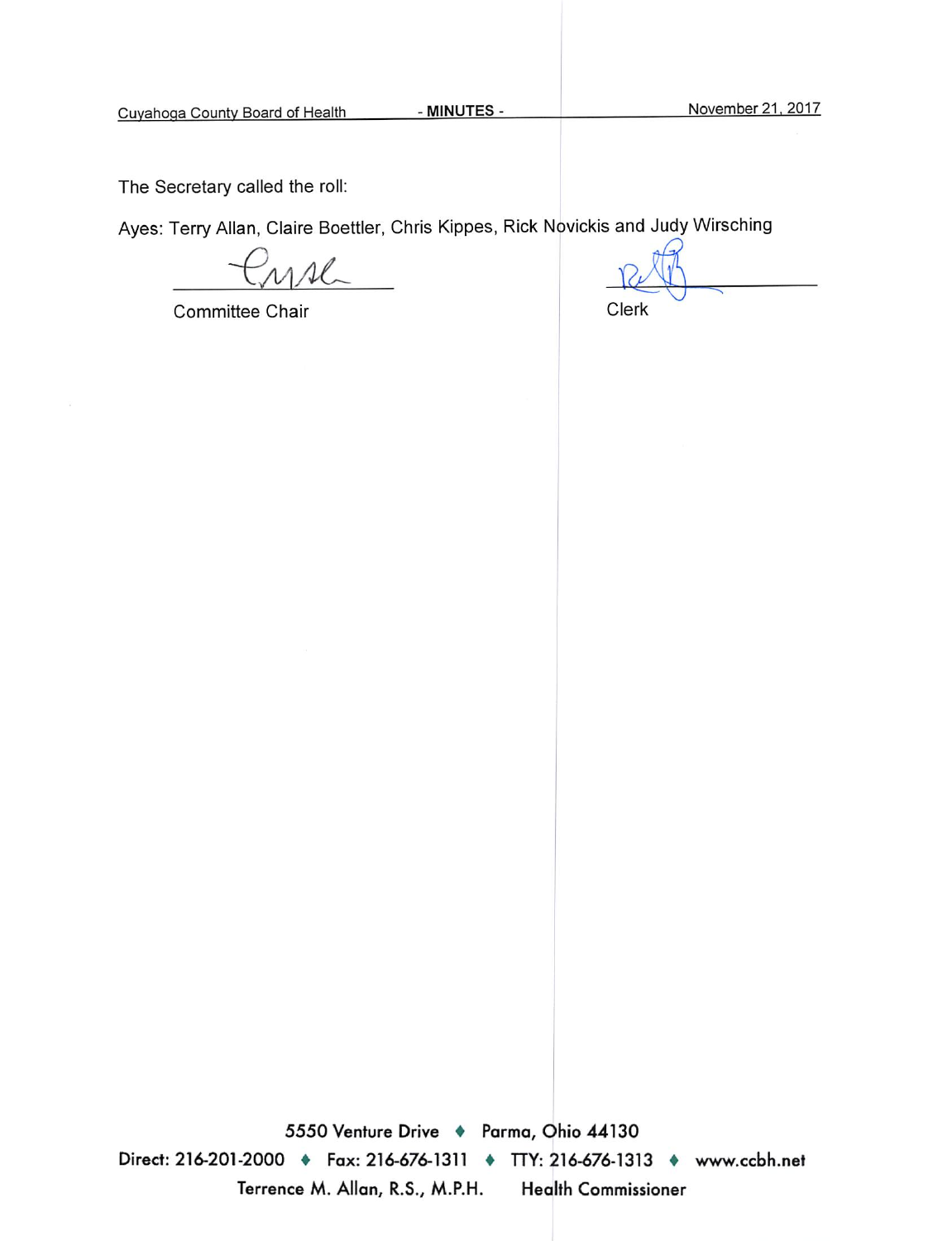The Secretary called the roll:

Ayes: Terry Allan, Claire Boettler, Chris Kippes, Rick Novickis and Judy Wirsching

 $\overline{M}$ 

Committee Chair

Clerk

5550 Venture Drive + Parma, Ohio 44130 Direct: 216-201-2000 • Fax: 216-676-1311 • TTY: 216-676-1313 • www.ccbh.net Terrence M. Allan, R.S., M.P.H. **Health Commissioner**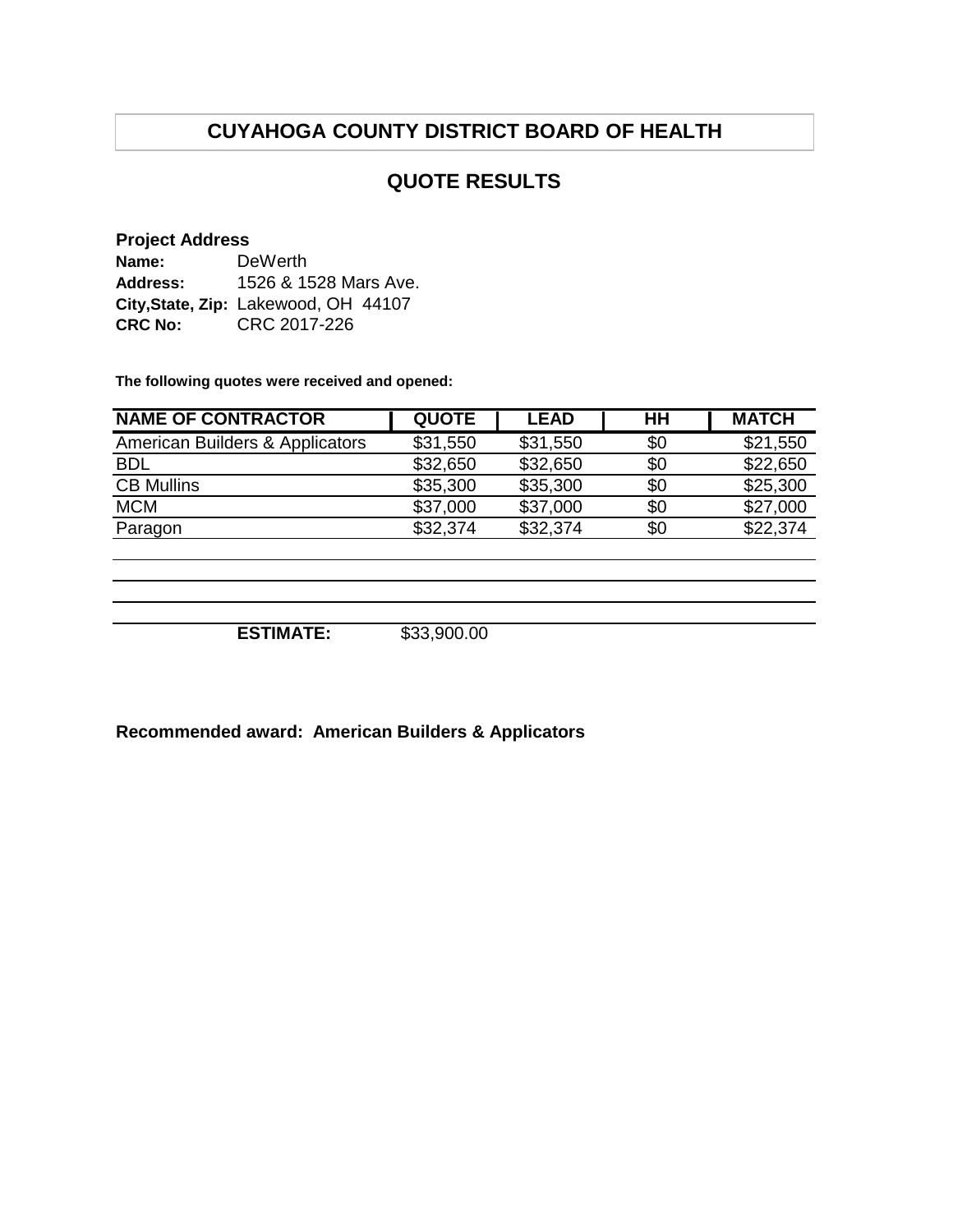## **QUOTE RESULTS**

#### **Project Address**

| Name:          | DeWerth                              |
|----------------|--------------------------------------|
| Address:       | 1526 & 1528 Mars Ave.                |
|                | City, State, Zip: Lakewood, OH 44107 |
| <b>CRC No:</b> | CRC 2017-226                         |

**The following quotes were received and opened:**

| <b>QUOTE</b> | <b>LEAD</b> | HН  | <b>MATCH</b> |
|--------------|-------------|-----|--------------|
| \$31,550     | \$31,550    | \$0 | \$21,550     |
| \$32,650     | \$32,650    | \$0 | \$22,650     |
| \$35,300     | \$35,300    | \$0 | \$25,300     |
| \$37,000     | \$37,000    | \$0 | \$27,000     |
| \$32,374     | \$32,374    | \$0 | \$22,374     |
|              |             |     |              |
|              |             |     |              |
|              |             |     |              |
|              |             |     |              |

**ESTIMATE:** \$33,900.00

**Recommended award: American Builders & Applicators**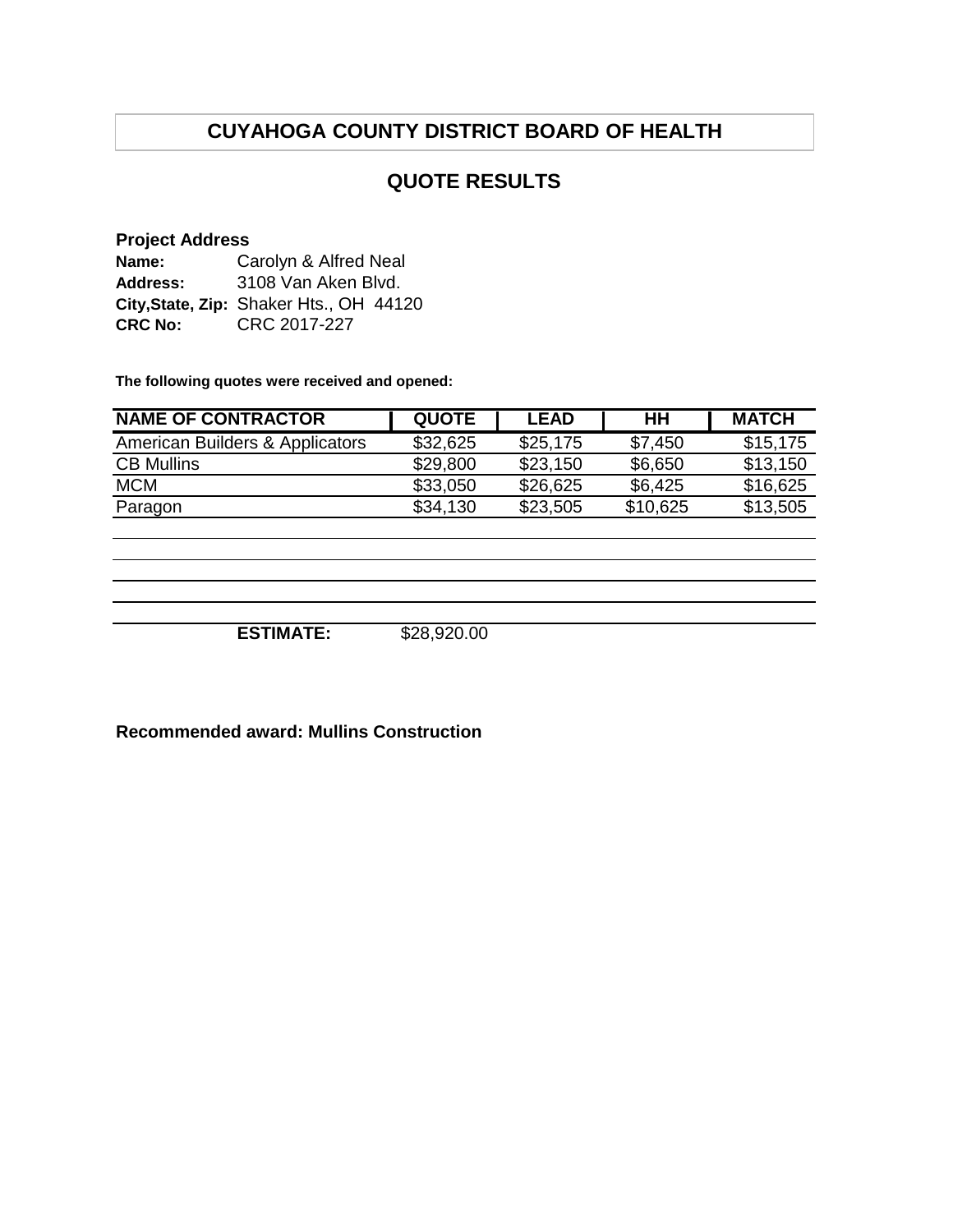## **QUOTE RESULTS**

#### **Project Address**

| Name:          | Carolyn & Alfred Neal                   |  |  |  |
|----------------|-----------------------------------------|--|--|--|
| Address:       | 3108 Van Aken Blvd.                     |  |  |  |
|                | City, State, Zip: Shaker Hts., OH 44120 |  |  |  |
| <b>CRC No:</b> | CRC 2017-227                            |  |  |  |

**The following quotes were received and opened:**

| <b>NAME OF CONTRACTOR</b>       | <b>QUOTE</b> | <b>LEAD</b> | HН       | <b>MATCH</b> |
|---------------------------------|--------------|-------------|----------|--------------|
| American Builders & Applicators | \$32,625     | \$25,175    | \$7,450  | \$15.175     |
| <b>CB Mullins</b>               | \$29,800     | \$23,150    | \$6,650  | \$13,150     |
| <b>MCM</b>                      | \$33,050     | \$26,625    | \$6,425  | \$16,625     |
| Paragon                         | \$34,130     | \$23,505    | \$10,625 | \$13,505     |

**ESTIMATE:** \$28,920.00

**Recommended award: Mullins Construction**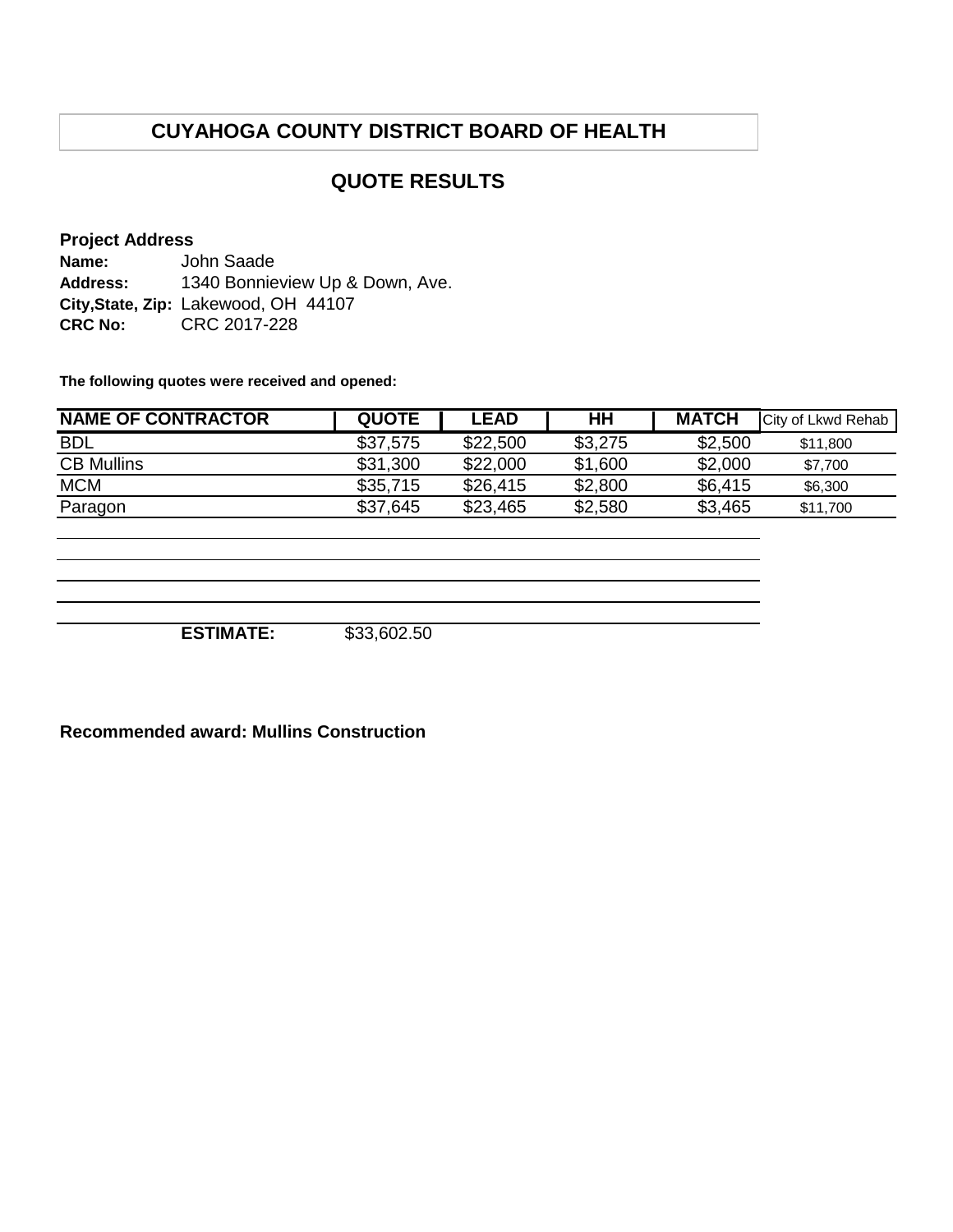## **QUOTE RESULTS**

#### **Project Address**

**Name: Address: City,State, Zip:** Lakewood, OH 44107 **CRC No:** CRC 2017-228 John Saade 1340 Bonnieview Up & Down, Ave.

**The following quotes were received and opened:**

| <b>NAME OF CONTRACTOR</b> | <b>QUOTE</b> | <b>LEAD</b> | HН      | <b>MATCH</b> | City of Lkwd Rehab |
|---------------------------|--------------|-------------|---------|--------------|--------------------|
| <b>BDL</b>                | \$37,575     | \$22,500    | \$3,275 | \$2,500      | \$11,800           |
| <b>CB Mullins</b>         | \$31,300     | \$22,000    | \$1,600 | \$2,000      | \$7.700            |
| <b>MCM</b>                | \$35,715     | \$26,415    | \$2,800 | \$6,415      | \$6,300            |
| Paragon                   | \$37,645     | \$23,465    | \$2,580 | \$3,465      | \$11,700           |

**ESTIMATE:** \$33,602.50

#### **Recommended award: Mullins Construction**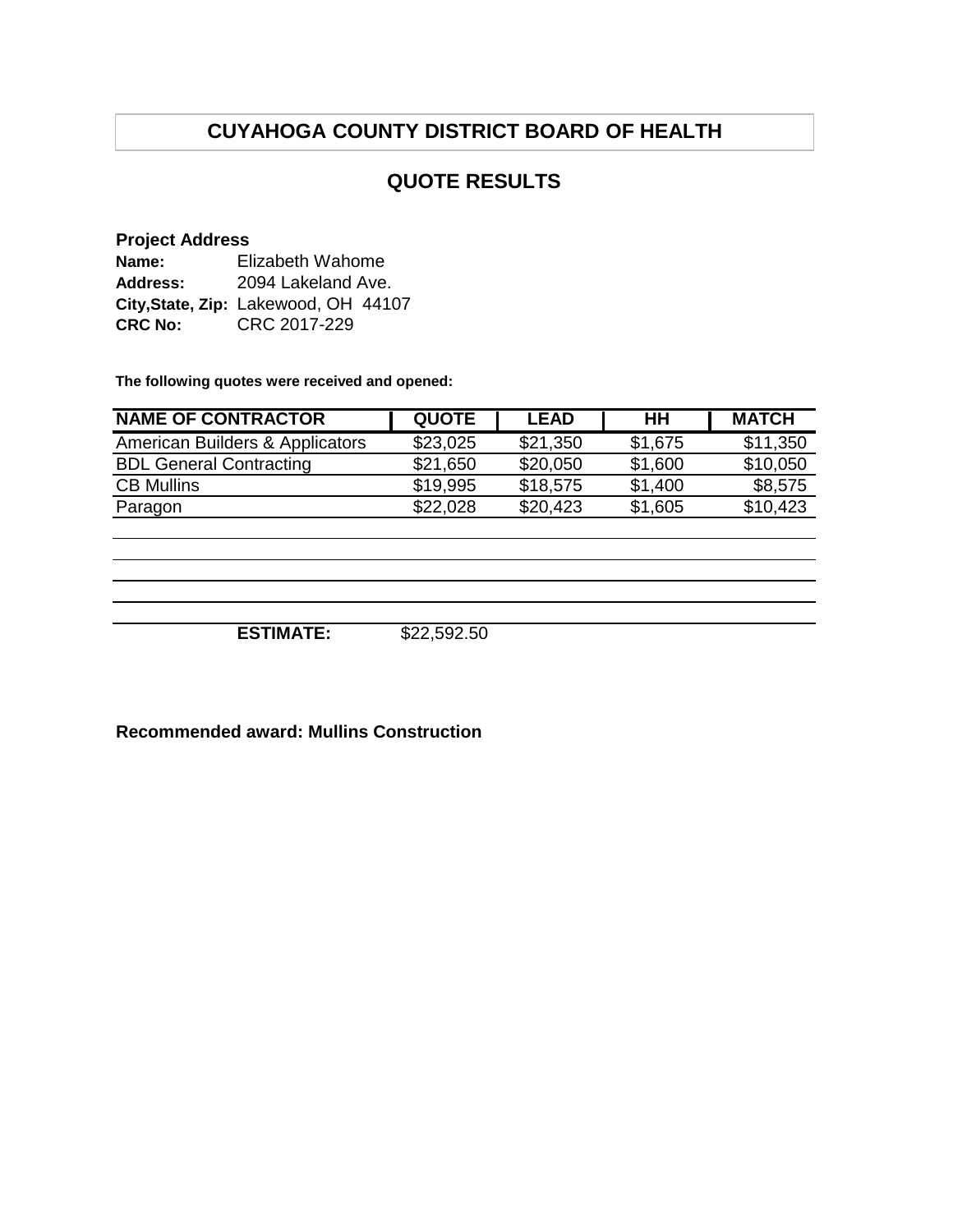## **QUOTE RESULTS**

#### **Project Address**

| Name:          | Elizabeth Wahome                     |  |  |  |
|----------------|--------------------------------------|--|--|--|
| Address:       | 2094 Lakeland Ave.                   |  |  |  |
|                | City, State, Zip: Lakewood, OH 44107 |  |  |  |
| <b>CRC No:</b> | CRC 2017-229                         |  |  |  |

**The following quotes were received and opened:**

| <b>NAME OF CONTRACTOR</b>       | <b>QUOTE</b> | <b>LEAD</b> | HН      | <b>MATCH</b> |
|---------------------------------|--------------|-------------|---------|--------------|
| American Builders & Applicators | \$23,025     | \$21,350    | \$1,675 | \$11,350     |
| <b>BDL General Contracting</b>  | \$21,650     | \$20,050    | \$1,600 | \$10,050     |
| <b>CB Mullins</b>               | \$19,995     | \$18,575    | \$1,400 | \$8,575      |
| Paragon                         | \$22,028     | \$20,423    | \$1,605 | \$10,423     |

**ESTIMATE:** \$22,592.50

**Recommended award: Mullins Construction**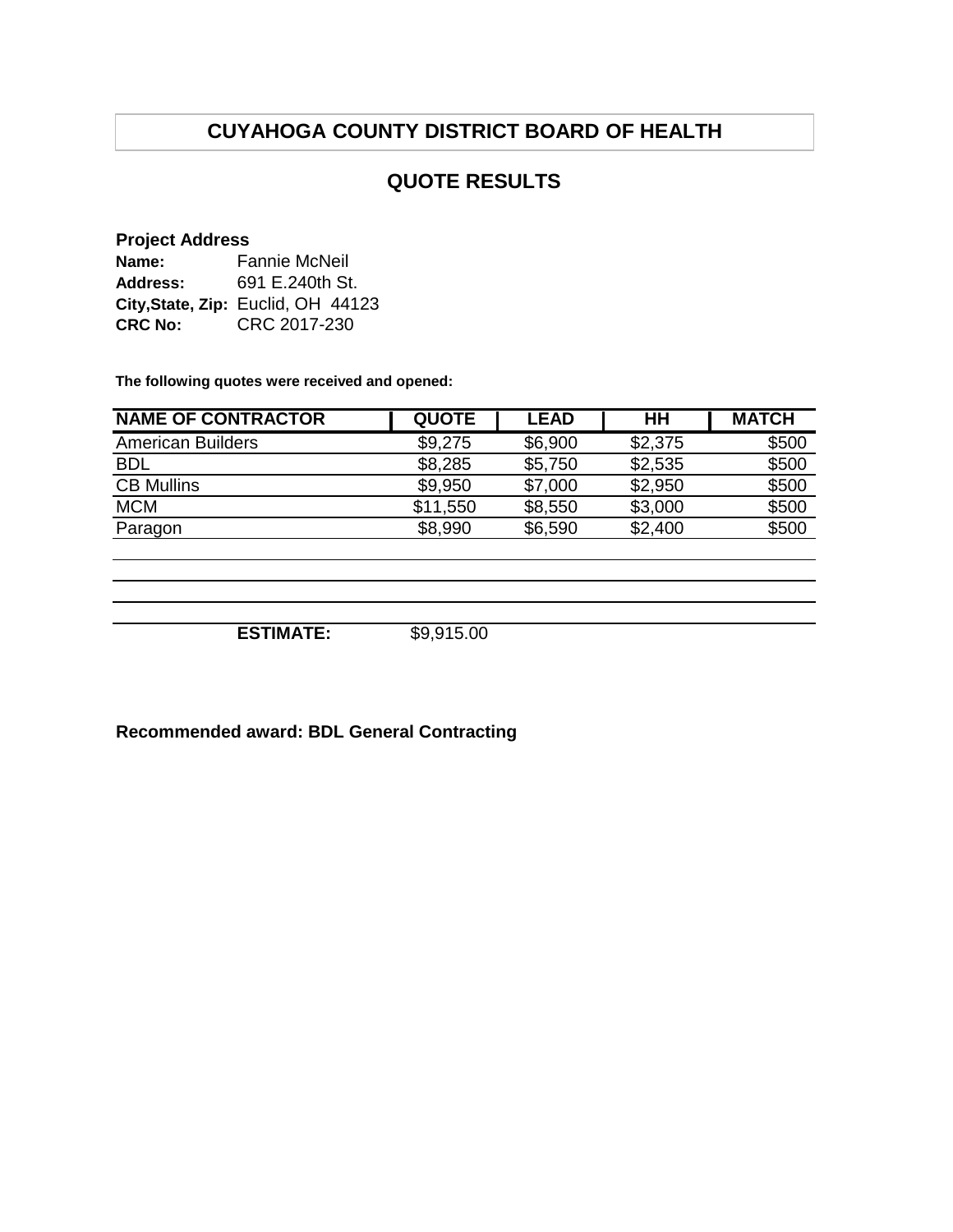## **QUOTE RESULTS**

#### **Project Address**

| Name:          | <b>Fannie McNeil</b>               |  |  |  |  |
|----------------|------------------------------------|--|--|--|--|
| Address:       | 691 E.240th St.                    |  |  |  |  |
|                | City, State, Zip: Euclid, OH 44123 |  |  |  |  |
| <b>CRC No:</b> | CRC 2017-230                       |  |  |  |  |

**The following quotes were received and opened:**

| <b>NAME OF CONTRACTOR</b> | <b>QUOTE</b> | <b>LEAD</b> | HH      | <b>MATCH</b> |
|---------------------------|--------------|-------------|---------|--------------|
| <b>American Builders</b>  | \$9,275      | \$6,900     | \$2,375 | \$500        |
| <b>BDL</b>                | \$8,285      | \$5,750     | \$2,535 | \$500        |
| <b>CB Mullins</b>         | \$9,950      | \$7,000     | \$2,950 | \$500        |
| <b>MCM</b>                | \$11,550     | \$8,550     | \$3,000 | \$500        |
| Paragon                   | \$8,990      | \$6,590     | \$2,400 | \$500        |
|                           |              |             |         |              |
|                           |              |             |         |              |
|                           |              |             |         |              |

**ESTIMATE:** \$9,915.00

**Recommended award: BDL General Contracting**